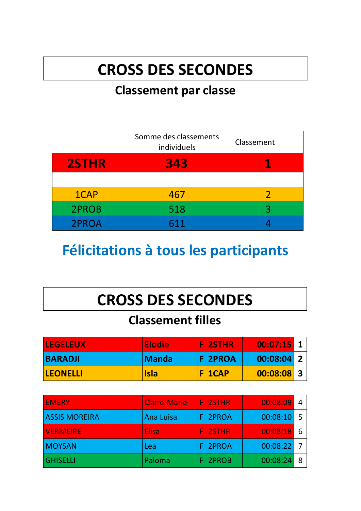# **CROSS DES SECONDES**

#### **Classement par classe**

|              | Somme des classements<br>individuels | Classement |
|--------------|--------------------------------------|------------|
| <b>2STHR</b> | 343                                  |            |
|              |                                      |            |
| 1CAP         | 467                                  |            |
| 2PROB        | 518                                  | ર          |
| 2PROA        | 611                                  |            |

### **Félicitations à tous les participants**

### **CROSS DES SECONDES**

#### **Classement filles**

| <b>LEGELEUX</b> | <b>Elodie</b> | <b>FI2STHR</b> | $00:07:15$ 1 |  |
|-----------------|---------------|----------------|--------------|--|
| <b>BARADJI</b>  | <b>Manda</b>  | <b>F2PROA</b>  | 00:08:04 2   |  |
| <b>LEONELLI</b> | <b>Isla</b>   | $F$   1CAP     | $00:08:08$ 3 |  |

| <b>EMERY</b>         | <b>Claire-Marie</b> |     | <b>FI2STHR</b> | 00:08:09     |  |
|----------------------|---------------------|-----|----------------|--------------|--|
| <b>ASSIS MOREIRA</b> | <b>Ana Luisa</b>    |     | F 2PROA        | 00:08:10     |  |
| <b>VERMEIRE</b>      | <b>Elisa</b>        | ΙF, | <b>2STHR</b>   | 00:08:18     |  |
| <b>MOYSAN</b>        | Lea                 |     | F 2PROA        | $00:08:22$ 7 |  |
| <b>GHISELLI</b>      | Paloma              |     | 2PROB          | 00:08:24     |  |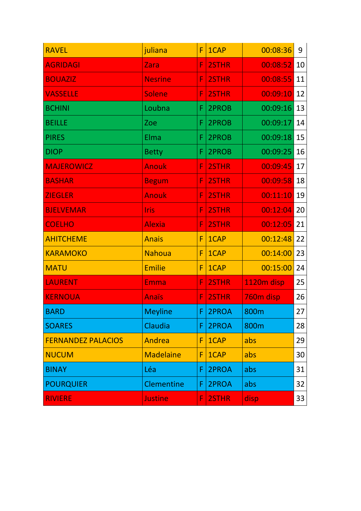| <b>RAVEL</b>              | juliana          | F  | 1CAP  | 00:08:36   | 9  |
|---------------------------|------------------|----|-------|------------|----|
| <b>AGRIDAGI</b>           | Zara             | F. | 2STHR | 00:08:52   | 10 |
| <b>BOUAZIZ</b>            | <b>Nesrine</b>   | F  | 2STHR | 00:08:55   | 11 |
| <b>VASSELLE</b>           | <b>Solene</b>    | F  | 2STHR | 00:09:10   | 12 |
| <b>BCHINI</b>             | Loubna           | F  | 2PROB | 00:09:16   | 13 |
| <b>BEILLE</b>             | Zoe              | F  | 2PROB | 00:09:17   | 14 |
| <b>PIRES</b>              | Elma             | F. | 2PROB | 00:09:18   | 15 |
| <b>DIOP</b>               | <b>Betty</b>     | F. | 2PROB | 00:09:25   | 16 |
| <b>MAJEROWICZ</b>         | <b>Anouk</b>     | F  | 2STHR | 00:09:45   | 17 |
| <b>BASHAR</b>             | <b>Begum</b>     | F  | 2STHR | 00:09:58   | 18 |
| <b>ZIEGLER</b>            | <b>Anouk</b>     | F. | 2STHR | 00:11:10   | 19 |
| <b>BJELVEMAR</b>          | <b>Iris</b>      | F. | 2STHR | 00:12:04   | 20 |
| <b>COELHO</b>             | <b>Alexia</b>    | F  | 2STHR | 00:12:05   | 21 |
| <b>AHITCHEME</b>          | <b>Anais</b>     | F  | 1CAP  | 00:12:48   | 22 |
| <b>KARAMOKO</b>           | <b>Nahoua</b>    | F  | 1CAP  | 00:14:00   | 23 |
| <b>MATU</b>               | <b>Emilie</b>    | F  | 1CAP  | 00:15:00   | 24 |
| <b>LAURENT</b>            | Emma             | F. | 2STHR | 1120m disp | 25 |
| <b>KERNOUA</b>            | <b>Anaïs</b>     | F  | 2STHR | 760m disp  | 26 |
| <b>BARD</b>               | <b>Meyline</b>   | F. | 2PROA | 800m       | 27 |
| <b>SOARES</b>             | Claudia          | F  | 2PROA | 800m       | 28 |
| <b>FERNANDEZ PALACIOS</b> | Andrea           | F  | 1CAP  | abs        | 29 |
| <b>NUCUM</b>              | <b>Madelaine</b> | F  | 1CAP  | abs        | 30 |
| <b>BINAY</b>              | Léa              | F  | 2PROA | abs        | 31 |
| <b>POURQUIER</b>          | Clementine       | F  | 2PROA | abs        | 32 |
| <b>RIVIERE</b>            | <b>Justine</b>   | F. | 2STHR | disp       | 33 |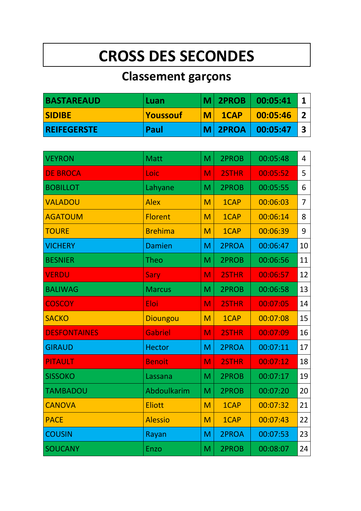## **CROSS DES SECONDES**

### **Classement garçons**

| <b>BASTAREAUD</b>  | ∣Luan            |   | $ M $ 2PROB | 00:05:41 |  |
|--------------------|------------------|---|-------------|----------|--|
| <b>SIDIBE</b>      | <u> Youssouf</u> | M | 1CAP        | 00:05:46 |  |
| <b>REIFEGERSTE</b> | Paul             |   | M 2PROA     | 00:05:47 |  |

| <b>VEYRON</b>       | <b>Matt</b>     | M | 2PROB | 00:05:48 | 4              |
|---------------------|-----------------|---|-------|----------|----------------|
| <b>DE BROCA</b>     | Loic            | M | 2STHR | 00:05:52 | 5              |
| <b>BOBILLOT</b>     | Lahyane         | M | 2PROB | 00:05:55 | 6              |
| <b>VALADOU</b>      | <b>Alex</b>     | M | 1CAP  | 00:06:03 | $\overline{7}$ |
| <b>AGATOUM</b>      | <b>Florent</b>  | M | 1CAP  | 00:06:14 | 8              |
| <b>TOURE</b>        | <b>Brehima</b>  | M | 1CAP  | 00:06:39 | 9              |
| <b>VICHERY</b>      | <b>Damien</b>   | M | 2PROA | 00:06:47 | 10             |
| <b>BESNIER</b>      | <b>Theo</b>     | M | 2PROB | 00:06:56 | 11             |
| <b>VERDU</b>        | Sary            | M | 2STHR | 00:06:57 | 12             |
| <b>BALIWAG</b>      | <b>Marcus</b>   | M | 2PROB | 00:06:58 | 13             |
| <b>COSCOY</b>       | Eloi            | M | 2STHR | 00:07:05 | 14             |
| <b>SACKO</b>        | <b>Dioungou</b> | M | 1CAP  | 00:07:08 | 15             |
| <b>DESFONTAINES</b> | <b>Gabriel</b>  | M | 2STHR | 00:07:09 | 16             |
| <b>GIRAUD</b>       | <b>Hector</b>   | M | 2PROA | 00:07:11 | 17             |
| <b>PITAULT</b>      | <b>Benoit</b>   | M | 2STHR | 00:07:12 | 18             |
| <b>SISSOKO</b>      | Lassana         | M | 2PROB | 00:07:17 | 19             |
| <b>TAMBADOU</b>     | Abdoulkarim     | M | 2PROB | 00:07:20 | 20             |
| <b>CANOVA</b>       | <b>Eliott</b>   | M | 1CAP  | 00:07:32 | 21             |
| <b>PACE</b>         | <b>Alessio</b>  | M | 1CAP  | 00:07:43 | 22             |
| <b>COUSIN</b>       | Rayan           | M | 2PROA | 00:07:53 | 23             |
| <b>SOUCANY</b>      | <b>Enzo</b>     | M | 2PROB | 00:08:07 | 24             |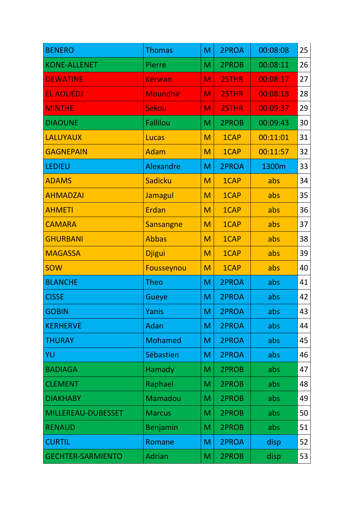| <b>BENERO</b>            | <b>Thomas</b>   | M | 2PROA | 00:08:08 | 25 |
|--------------------------|-----------------|---|-------|----------|----|
| <b>KONE-ALLENET</b>      | Pierre          | M | 2PROB | 00:08:11 | 26 |
| <b>DEWATINE</b>          | <b>Kerwan</b>   | M | 2STHR | 00:08:17 | 27 |
| <b>EL AOUEDJ</b>         | <b>Moundhir</b> | M | 2STHR | 00:08:18 | 28 |
| <b>MINTHE</b>            | <b>Sekou</b>    | M | 2STHR | 00:09:37 | 29 |
| <b>DIAOUNE</b>           | <b>Fallilou</b> | M | 2PROB | 00:09:43 | 30 |
| <b>LALUYAUX</b>          | Lucas           | M | 1CAP  | 00:11:01 | 31 |
| <b>GAGNEPAIN</b>         | <b>Adam</b>     | M | 1CAP  | 00:11:57 | 32 |
| <b>LEDIEU</b>            | Alexandre       | M | 2PROA | 1300m    | 33 |
| <b>ADAMS</b>             | Sadicku         | M | 1CAP  | abs      | 34 |
| <b>AHMADZAI</b>          | Jamagul         | M | 1CAP  | abs      | 35 |
| <b>AHMETI</b>            | <b>Erdan</b>    | M | 1CAP  | abs      | 36 |
| <b>CAMARA</b>            | Sansangne       | M | 1CAP  | abs      | 37 |
| <b>GHURBANI</b>          | <b>Abbas</b>    | M | 1CAP  | abs      | 38 |
| <b>MAGASSA</b>           | <b>Djigui</b>   | M | 1CAP  | abs      | 39 |
| <b>SOW</b>               | Fousseynou      | M | 1CAP  | abs      | 40 |
| <b>BLANCHE</b>           | <b>Theo</b>     | M | 2PROA | abs      | 41 |
| <b>CISSE</b>             | Gueye           | M | 2PROA | abs      | 42 |
| <b>GOBIN</b>             | Yanis           | M | 2PROA | abs      | 43 |
| <b>KERHERVE</b>          | Adan            | M | 2PROA | abs      | 44 |
| <b>THURAY</b>            | <b>Mohamed</b>  | M | 2PROA | abs      | 45 |
| YU                       | Sébastien       | M | 2PROA | abs      | 46 |
| <b>BADIAGA</b>           | Hamady          | Μ | 2PROB | abs      | 47 |
| <b>CLEMENT</b>           | Raphael         | Μ | 2PROB | abs      | 48 |
| <b>DIAKHABY</b>          | Mamadou         | M | 2PROB | abs      | 49 |
| MILLEREAU-DUBESSET       | <b>Marcus</b>   | M | 2PROB | abs      | 50 |
| <b>RENAUD</b>            | <b>Benjamin</b> | Μ | 2PROB | abs      | 51 |
| <b>CURTIL</b>            | Romane          | M | 2PROA | disp     | 52 |
| <b>GECHTER-SARMIENTO</b> | <b>Adrian</b>   | M | 2PROB | disp     | 53 |